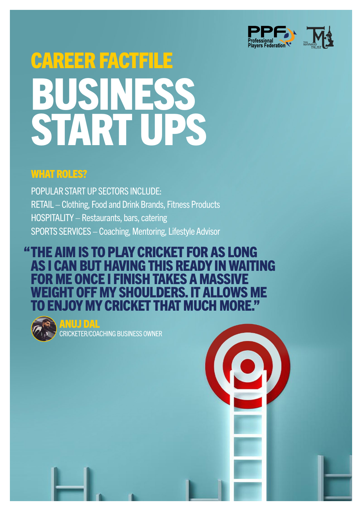

# CAREER FACTFILE BUSINESS START UPS

### **WHAT ROLES?**

POPULAR START UP SECTORS INCLUDE: RETAIL – Clothing, Food and Drink Brands, Fitness Products HOSPITALITY – Restaurants, bars, catering SPORTS SERVICES – Coaching, Mentoring, Lifestyle Advisor

#### THE AIM IS TO PLAY CRICKET FOR AS LONG "AS I CAN BUT HAVING THIS READY IN WAITING R ME ONCE I FINISH TAKES A WEIGHT OFF MY SHOULDERS. IT ALLOWS ME ENJOY MY CRICKET THAT MUCH M



ANUJ DAL CRICKETER/COACHING BUSINESS OWNER